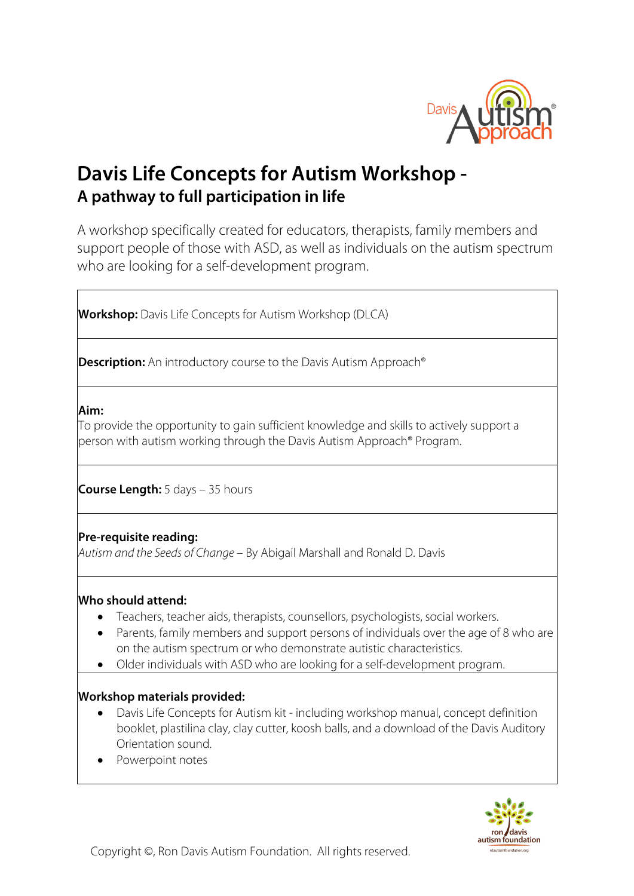

# **Davis Life Concepts for Autism Workshop - A pathway to full participation in life**

A workshop specifically created for educators, therapists, family members and support people of those with ASD, as well as individuals on the autism spectrum who are looking for a self-development program.

**Workshop:** Davis Life Concepts for Autism Workshop (DLCA)

**Description:** An introductory course to the Davis Autism Approach<sup>®</sup>

#### **Aim:**

To provide the opportunity to gain sufficient knowledge and skills to actively support a person with autism working through the Davis Autism Approach® Program.

**Course Length:** 5 days – 35 hours

## **Pre-requisite reading:**

*Autism and the Seeds of Change* – By Abigail Marshall and Ronald D. Davis

#### **Who should attend:**

- Teachers, teacher aids, therapists, counsellors, psychologists, social workers.
- Parents, family members and support persons of individuals over the age of 8 who are on the autism spectrum or who demonstrate autistic characteristics.
- Older individuals with ASD who are looking for a self-development program.

#### **Workshop materials provided:**

- Davis Life Concepts for Autism kit including workshop manual, concept definition booklet, plastilina clay, clay cutter, koosh balls, and a download of the Davis Auditory Orientation sound.
- Powerpoint notes